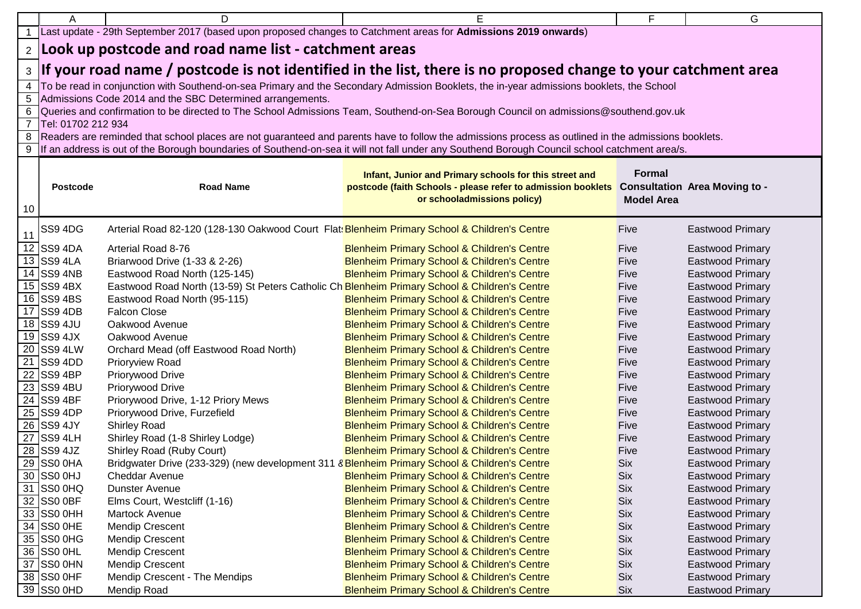|                 | A                        | D                                                                                                                                                    | Е                                                                                                                                                     | F                                  | G                                    |  |  |  |  |  |
|-----------------|--------------------------|------------------------------------------------------------------------------------------------------------------------------------------------------|-------------------------------------------------------------------------------------------------------------------------------------------------------|------------------------------------|--------------------------------------|--|--|--|--|--|
|                 |                          |                                                                                                                                                      | Last update - 29th September 2017 (based upon proposed changes to Catchment areas for Admissions 2019 onwards)                                        |                                    |                                      |  |  |  |  |  |
| $\overline{2}$  |                          | Look up postcode and road name list - catchment areas                                                                                                |                                                                                                                                                       |                                    |                                      |  |  |  |  |  |
| 3               |                          | If your road name / postcode is not identified in the list, there is no proposed change to your catchment area                                       |                                                                                                                                                       |                                    |                                      |  |  |  |  |  |
| 4               |                          | To be read in conjunction with Southend-on-sea Primary and the Secondary Admission Booklets, the in-year admissions booklets, the School             |                                                                                                                                                       |                                    |                                      |  |  |  |  |  |
| 5               |                          | Admissions Code 2014 and the SBC Determined arrangements.                                                                                            |                                                                                                                                                       |                                    |                                      |  |  |  |  |  |
| 6               |                          | Queries and confirmation to be directed to The School Admissions Team, Southend-on-Sea Borough Council on admissions@southend.gov.uk                 |                                                                                                                                                       |                                    |                                      |  |  |  |  |  |
| $\overline{7}$  |                          | Tel: 01702 212 934                                                                                                                                   |                                                                                                                                                       |                                    |                                      |  |  |  |  |  |
| 8               |                          | Readers are reminded that school places are not guaranteed and parents have to follow the admissions process as outlined in the admissions booklets. |                                                                                                                                                       |                                    |                                      |  |  |  |  |  |
| 9               |                          |                                                                                                                                                      | If an address is out of the Borough boundaries of Southend-on-sea it will not fall under any Southend Borough Council school catchment area/s.        |                                    |                                      |  |  |  |  |  |
| 10              | <b>Postcode</b>          | <b>Road Name</b>                                                                                                                                     | Infant, Junior and Primary schools for this street and<br>postcode (faith Schools - please refer to admission booklets<br>or schooladmissions policy) | <b>Formal</b><br><b>Model Area</b> | <b>Consultation Area Moving to -</b> |  |  |  |  |  |
| 11              | SS9 4DG                  | Arterial Road 82-120 (128-130 Oakwood Court Flat: Blenheim Primary School & Children's Centre                                                        |                                                                                                                                                       | Five                               | Eastwood Primary                     |  |  |  |  |  |
|                 | 12 SS9 4DA               | Arterial Road 8-76                                                                                                                                   | <b>Blenheim Primary School &amp; Children's Centre</b>                                                                                                | Five                               | Eastwood Primary                     |  |  |  |  |  |
|                 | 13 SS9 4LA               | Briarwood Drive (1-33 & 2-26)                                                                                                                        | Blenheim Primary School & Children's Centre                                                                                                           | <b>Five</b>                        | Eastwood Primary                     |  |  |  |  |  |
|                 | 14 SS9 4NB               | Eastwood Road North (125-145)                                                                                                                        | Blenheim Primary School & Children's Centre                                                                                                           | Five                               | Eastwood Primary                     |  |  |  |  |  |
|                 | 15 SS9 4BX               | Eastwood Road North (13-59) St Peters Catholic Ch Blenheim Primary School & Children's Centre                                                        |                                                                                                                                                       | <b>Five</b>                        | <b>Eastwood Primary</b>              |  |  |  |  |  |
|                 | 16 SS9 4BS               | Eastwood Road North (95-115)                                                                                                                         | Blenheim Primary School & Children's Centre                                                                                                           | Five                               | <b>Eastwood Primary</b>              |  |  |  |  |  |
|                 | 17 SS9 4DB               | <b>Falcon Close</b>                                                                                                                                  | Blenheim Primary School & Children's Centre                                                                                                           | Five                               | Eastwood Primary                     |  |  |  |  |  |
|                 | 18 SS9 4JU               | Oakwood Avenue                                                                                                                                       | Blenheim Primary School & Children's Centre                                                                                                           | Five                               | Eastwood Primary                     |  |  |  |  |  |
|                 | 19 SS9 4JX               | Oakwood Avenue                                                                                                                                       | Blenheim Primary School & Children's Centre                                                                                                           | Five                               | <b>Eastwood Primary</b>              |  |  |  |  |  |
|                 | 20 SS9 4LW               | Orchard Mead (off Eastwood Road North)                                                                                                               | Blenheim Primary School & Children's Centre                                                                                                           | Five                               | Eastwood Primary                     |  |  |  |  |  |
|                 | 21 SS9 4DD               | Prioryview Road                                                                                                                                      | Blenheim Primary School & Children's Centre                                                                                                           | Five                               | Eastwood Primary                     |  |  |  |  |  |
|                 | 22 SS9 4BP               | Priorywood Drive                                                                                                                                     | Blenheim Primary School & Children's Centre                                                                                                           | Five                               | <b>Eastwood Primary</b>              |  |  |  |  |  |
|                 | $\overline{23}$ SS9 4BU  | Priorywood Drive                                                                                                                                     | <b>Blenheim Primary School &amp; Children's Centre</b>                                                                                                | Five                               | Eastwood Primary                     |  |  |  |  |  |
|                 | 24 SS9 4BF               | Priorywood Drive, 1-12 Priory Mews                                                                                                                   | Blenheim Primary School & Children's Centre                                                                                                           | Five                               | Eastwood Primary                     |  |  |  |  |  |
|                 | 25 SS9 4DP               | Priorywood Drive, Furzefield                                                                                                                         | Blenheim Primary School & Children's Centre                                                                                                           | Five                               | Eastwood Primary                     |  |  |  |  |  |
|                 | 26 SS9 4JY               | <b>Shirley Road</b>                                                                                                                                  | Blenheim Primary School & Children's Centre                                                                                                           | Five                               | Eastwood Primary                     |  |  |  |  |  |
| $\overline{27}$ | SS9 4LH                  | Shirley Road (1-8 Shirley Lodge)                                                                                                                     | Blenheim Primary School & Children's Centre                                                                                                           | <b>Five</b>                        | <b>Eastwood Primary</b>              |  |  |  |  |  |
|                 | 28 SS9 4JZ               | Shirley Road (Ruby Court)                                                                                                                            | <b>Blenheim Primary School &amp; Children's Centre</b>                                                                                                | Five                               | <b>Eastwood Primary</b>              |  |  |  |  |  |
|                 | 29 SS0 0HA               | Bridgwater Drive (233-329) (new development 311 8 Blenheim Primary School & Children's Centre                                                        |                                                                                                                                                       | <b>Six</b>                         | Eastwood Primary                     |  |  |  |  |  |
|                 | $\overline{30}$ SS0 0HJ  | <b>Cheddar Avenue</b>                                                                                                                                | <b>Blenheim Primary School &amp; Children's Centre</b>                                                                                                | <b>Six</b>                         | <b>Eastwood Primary</b>              |  |  |  |  |  |
|                 | 31 SS0 0HQ               | <b>Dunster Avenue</b>                                                                                                                                | Blenheim Primary School & Children's Centre                                                                                                           | <b>Six</b>                         | <b>Eastwood Primary</b>              |  |  |  |  |  |
|                 | 32 SS0 0BF               | Elms Court, Westcliff (1-16)                                                                                                                         | Blenheim Primary School & Children's Centre                                                                                                           | <b>Six</b>                         | <b>Eastwood Primary</b>              |  |  |  |  |  |
|                 | 33 SS0 0HH               | Martock Avenue                                                                                                                                       | Blenheim Primary School & Children's Centre                                                                                                           | <b>Six</b>                         | Eastwood Primary                     |  |  |  |  |  |
|                 | 34 SS0 0HE               | <b>Mendip Crescent</b>                                                                                                                               | <b>Blenheim Primary School &amp; Children's Centre</b>                                                                                                | <b>Six</b>                         | <b>Eastwood Primary</b>              |  |  |  |  |  |
|                 | 35 SS0 0HG               | <b>Mendip Crescent</b>                                                                                                                               | Blenheim Primary School & Children's Centre                                                                                                           | <b>Six</b>                         | Eastwood Primary                     |  |  |  |  |  |
|                 | 36 SS0 0HL               | Mendip Crescent                                                                                                                                      | Blenheim Primary School & Children's Centre                                                                                                           | <b>Six</b>                         | <b>Eastwood Primary</b>              |  |  |  |  |  |
|                 | 37 SS0 0HN<br>38 SS0 0HF | <b>Mendip Crescent</b>                                                                                                                               | <b>Blenheim Primary School &amp; Children's Centre</b>                                                                                                | <b>Six</b>                         | Eastwood Primary                     |  |  |  |  |  |
|                 |                          | Mendip Crescent - The Mendips                                                                                                                        | Blenheim Primary School & Children's Centre                                                                                                           | <b>Six</b>                         | Eastwood Primary                     |  |  |  |  |  |
|                 | 39 SS0 0HD               | Mendip Road                                                                                                                                          | Blenheim Primary School & Children's Centre                                                                                                           | <b>Six</b>                         | Eastwood Primary                     |  |  |  |  |  |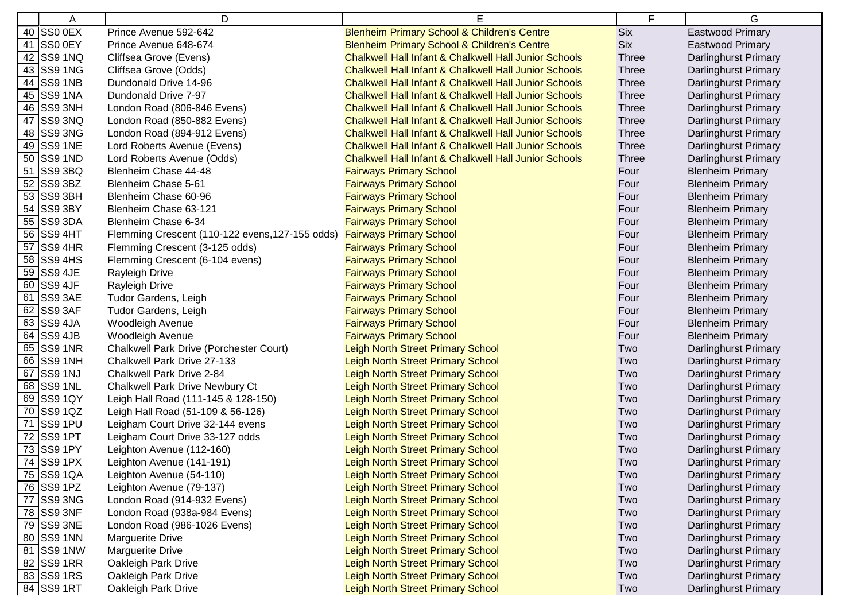|                 | Α              | D                                               | Е                                                                | F            | G                           |
|-----------------|----------------|-------------------------------------------------|------------------------------------------------------------------|--------------|-----------------------------|
|                 | 40 SS0 0EX     | Prince Avenue 592-642                           | Blenheim Primary School & Children's Centre                      | <b>Six</b>   | <b>Eastwood Primary</b>     |
|                 | 41 SS0 0EY     | Prince Avenue 648-674                           | <b>Blenheim Primary School &amp; Children's Centre</b>           | <b>Six</b>   | Eastwood Primary            |
| 42              | SS9 1NQ        | Cliffsea Grove (Evens)                          | <b>Chalkwell Hall Infant &amp; Chalkwell Hall Junior Schools</b> | <b>Three</b> | Darlinghurst Primary        |
| 43              | SS9 1NG        | Cliffsea Grove (Odds)                           | <b>Chalkwell Hall Infant &amp; Chalkwell Hall Junior Schools</b> | <b>Three</b> | Darlinghurst Primary        |
| 44              | SS9 1NB        | Dundonald Drive 14-96                           | <b>Chalkwell Hall Infant &amp; Chalkwell Hall Junior Schools</b> | <b>Three</b> | <b>Darlinghurst Primary</b> |
| 45              | SS9 1NA        | Dundonald Drive 7-97                            | <b>Chalkwell Hall Infant &amp; Chalkwell Hall Junior Schools</b> | <b>Three</b> | Darlinghurst Primary        |
| 46              | SS9 3NH        | London Road (806-846 Evens)                     | <b>Chalkwell Hall Infant &amp; Chalkwell Hall Junior Schools</b> | <b>Three</b> | Darlinghurst Primary        |
| 47              | SS9 3NQ        | London Road (850-882 Evens)                     | <b>Chalkwell Hall Infant &amp; Chalkwell Hall Junior Schools</b> | <b>Three</b> | <b>Darlinghurst Primary</b> |
| 48              | SS9 3NG        | London Road (894-912 Evens)                     | <b>Chalkwell Hall Infant &amp; Chalkwell Hall Junior Schools</b> | <b>Three</b> | Darlinghurst Primary        |
| 49              | SS9 1NE        | Lord Roberts Avenue (Evens)                     | <b>Chalkwell Hall Infant &amp; Chalkwell Hall Junior Schools</b> | Three        | Darlinghurst Primary        |
| 50              | SS9 1ND        | Lord Roberts Avenue (Odds)                      | <b>Chalkwell Hall Infant &amp; Chalkwell Hall Junior Schools</b> | <b>Three</b> | <b>Darlinghurst Primary</b> |
| 51              | SS9 3BQ        | Blenheim Chase 44-48                            | <b>Fairways Primary School</b>                                   | Four         | <b>Blenheim Primary</b>     |
| 52              | SS9 3BZ        | Blenheim Chase 5-61                             | <b>Fairways Primary School</b>                                   | Four         | <b>Blenheim Primary</b>     |
| 53              | SS9 3BH        | Blenheim Chase 60-96                            | <b>Fairways Primary School</b>                                   | Four         | <b>Blenheim Primary</b>     |
| 54              | SS9 3BY        | Blenheim Chase 63-121                           | <b>Fairways Primary School</b>                                   | Four         | <b>Blenheim Primary</b>     |
| 55              | SS9 3DA        | Blenheim Chase 6-34                             | <b>Fairways Primary School</b>                                   | Four         | <b>Blenheim Primary</b>     |
| 56              | SS9 4HT        | Flemming Crescent (110-122 evens, 127-155 odds) | <b>Fairways Primary School</b>                                   | Four         | <b>Blenheim Primary</b>     |
|                 | 57 SS9 4HR     | Flemming Crescent (3-125 odds)                  | <b>Fairways Primary School</b>                                   | Four         | <b>Blenheim Primary</b>     |
| 58              | SS9 4HS        | Flemming Crescent (6-104 evens)                 | <b>Fairways Primary School</b>                                   | Four         | <b>Blenheim Primary</b>     |
| 59              | SS9 4JE        | <b>Rayleigh Drive</b>                           | <b>Fairways Primary School</b>                                   | Four         | <b>Blenheim Primary</b>     |
| 60              | SS9 4JF        | <b>Rayleigh Drive</b>                           | <b>Fairways Primary School</b>                                   | Four         | <b>Blenheim Primary</b>     |
| 61              | SS9 3AE        | Tudor Gardens, Leigh                            | <b>Fairways Primary School</b>                                   | Four         | <b>Blenheim Primary</b>     |
| 62              | SS9 3AF        | Tudor Gardens, Leigh                            | <b>Fairways Primary School</b>                                   | Four         | <b>Blenheim Primary</b>     |
| 63              | SS9 4JA        | Woodleigh Avenue                                | <b>Fairways Primary School</b>                                   | Four         | <b>Blenheim Primary</b>     |
| 64              | SS9 4JB        | Woodleigh Avenue                                | <b>Fairways Primary School</b>                                   | Four         | <b>Blenheim Primary</b>     |
| 65              | SS9 1NR        | Chalkwell Park Drive (Porchester Court)         | <b>Leigh North Street Primary School</b>                         | <b>Two</b>   | Darlinghurst Primary        |
| 66              | SS9 1NH        | Chalkwell Park Drive 27-133                     | <b>Leigh North Street Primary School</b>                         | <b>Two</b>   | Darlinghurst Primary        |
| 67              | SS9 1NJ        | Chalkwell Park Drive 2-84                       | <b>Leigh North Street Primary School</b>                         | <b>Two</b>   | Darlinghurst Primary        |
| 68              | SS9 1NL        | <b>Chalkwell Park Drive Newbury Ct</b>          | <b>Leigh North Street Primary School</b>                         | <b>Two</b>   | Darlinghurst Primary        |
| 69              | SS9 1QY        | Leigh Hall Road (111-145 & 128-150)             | <b>Leigh North Street Primary School</b>                         | <b>Two</b>   | Darlinghurst Primary        |
| 70              | <b>SS9 1QZ</b> | Leigh Hall Road (51-109 & 56-126)               | <b>Leigh North Street Primary School</b>                         | <b>Two</b>   | Darlinghurst Primary        |
| 71              | SS9 1PU        | Leigham Court Drive 32-144 evens                | <b>Leigh North Street Primary School</b>                         | <b>Two</b>   | Darlinghurst Primary        |
|                 | 72 SS9 1PT     | Leigham Court Drive 33-127 odds                 | <b>Leigh North Street Primary School</b>                         | <b>Two</b>   | Darlinghurst Primary        |
|                 | 73 SS9 1PY     | Leighton Avenue (112-160)                       | Leigh North Street Primary School                                | <b>Two</b>   | Darlinghurst Primary        |
| 74              | SS9 1PX        | Leighton Avenue (141-191)                       | <b>Leigh North Street Primary School</b>                         | <b>Two</b>   | Darlinghurst Primary        |
|                 | 75 SS9 1QA     | Leighton Avenue (54-110)                        | <b>Leigh North Street Primary School</b>                         | Two          | Darlinghurst Primary        |
|                 | 76 SS9 1PZ     | Leighton Avenue (79-137)                        | Leigh North Street Primary School                                | <b>Two</b>   | Darlinghurst Primary        |
| 77              | SS9 3NG        | London Road (914-932 Evens)                     | Leigh North Street Primary School                                | Two          | <b>Darlinghurst Primary</b> |
|                 | 78 SS9 3NF     | London Road (938a-984 Evens)                    | Leigh North Street Primary School                                | Two          | Darlinghurst Primary        |
| 79              | SS9 3NE        | London Road (986-1026 Evens)                    | <b>Leigh North Street Primary School</b>                         | Two          | Darlinghurst Primary        |
| 80 <sub>1</sub> | SS9 1NN        | Marguerite Drive                                | Leigh North Street Primary School                                | Two          | Darlinghurst Primary        |
| 81              | SS9 1NW        | Marguerite Drive                                | <b>Leigh North Street Primary School</b>                         | Two          | Darlinghurst Primary        |
| 82              | SS9 1RR        | Oakleigh Park Drive                             | <b>Leigh North Street Primary School</b>                         | Two          | Darlinghurst Primary        |
| 83              | SS9 1RS        | Oakleigh Park Drive                             | Leigh North Street Primary School                                | Two          | Darlinghurst Primary        |
|                 | 84 SS9 1RT     | Oakleigh Park Drive                             | Leigh North Street Primary School                                | Two          | Darlinghurst Primary        |